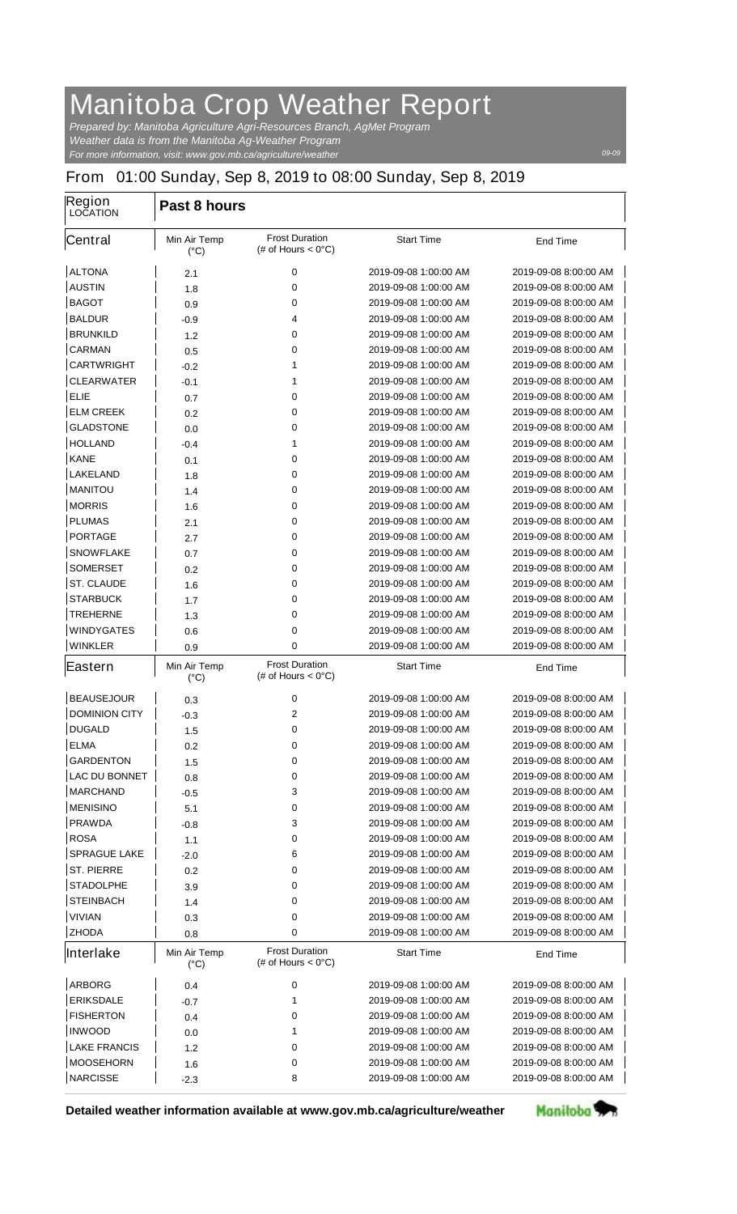## **Manitoba Crop Weather Report**

*For more information, visit: www.gov.mb.ca/agriculture/weather Prepared by: Manitoba Agriculture Agri-Resources Branch, AgMet Program Weather data is from the Manitoba Ag-Weather Program*

## **From 01:00 Sunday, Sep 8, 2019 to 08:00 Sunday, Sep 8, 2019**

| Region<br><b>LOCATION</b> | Past 8 hours                         |                                                       |                       |                       |  |  |
|---------------------------|--------------------------------------|-------------------------------------------------------|-----------------------|-----------------------|--|--|
| <b>Central</b>            | <b>Min Air Temp</b><br>$(^{\circ}C)$ | <b>Frost Duration</b><br>(# of Hours $< 0^{\circ}$ C) | <b>Start Time</b>     | <b>End Time</b>       |  |  |
| <b>ALTONA</b>             | 2.1                                  | 0                                                     | 2019-09-08 1:00:00 AM | 2019-09-08 8:00:00 AM |  |  |
| <b>AUSTIN</b>             | 1.8                                  | 0                                                     | 2019-09-08 1:00:00 AM | 2019-09-08 8:00:00 AM |  |  |
| <b>BAGOT</b>              | 0.9                                  | 0                                                     | 2019-09-08 1:00:00 AM | 2019-09-08 8:00:00 AM |  |  |
| <b>BALDUR</b>             | -0.9                                 | 4                                                     | 2019-09-08 1:00:00 AM | 2019-09-08 8:00:00 AM |  |  |
| <b>BRUNKILD</b>           | 1.2                                  | 0                                                     | 2019-09-08 1:00:00 AM | 2019-09-08 8:00:00 AM |  |  |
| <b>CARMAN</b>             | 0.5                                  | 0                                                     | 2019-09-08 1:00:00 AM | 2019-09-08 8:00:00 AM |  |  |
| <b>CARTWRIGHT</b>         | $-0.2$                               | 1                                                     | 2019-09-08 1:00:00 AM | 2019-09-08 8:00:00 AM |  |  |
| <b>CLEARWATER</b>         | -0.1                                 | 1                                                     | 2019-09-08 1:00:00 AM | 2019-09-08 8:00:00 AM |  |  |
| <b>ELIE</b>               | 0.7                                  | 0                                                     | 2019-09-08 1:00:00 AM | 2019-09-08 8:00:00 AM |  |  |
| <b>ELM CREEK</b>          | 0.2                                  | 0                                                     | 2019-09-08 1:00:00 AM | 2019-09-08 8:00:00 AM |  |  |
| <b>GLADSTONE</b>          | 0.0                                  | 0                                                     | 2019-09-08 1:00:00 AM | 2019-09-08 8:00:00 AM |  |  |
| <b>HOLLAND</b>            | -0.4                                 | 1                                                     | 2019-09-08 1:00:00 AM | 2019-09-08 8:00:00 AM |  |  |
| <b>KANE</b>               | 0.1                                  | 0                                                     | 2019-09-08 1:00:00 AM | 2019-09-08 8:00:00 AM |  |  |
| <b>LAKELAND</b>           | 1.8                                  | 0                                                     | 2019-09-08 1:00:00 AM | 2019-09-08 8:00:00 AM |  |  |
| <b>MANITOU</b>            | 1.4                                  | 0                                                     | 2019-09-08 1:00:00 AM | 2019-09-08 8:00:00 AM |  |  |
| <b>MORRIS</b>             | 1.6                                  | 0                                                     | 2019-09-08 1:00:00 AM | 2019-09-08 8:00:00 AM |  |  |
| <b>PLUMAS</b>             | 2.1                                  | 0                                                     | 2019-09-08 1:00:00 AM | 2019-09-08 8:00:00 AM |  |  |
| <b>PORTAGE</b>            | 2.7                                  | 0                                                     | 2019-09-08 1:00:00 AM | 2019-09-08 8:00:00 AM |  |  |
| <b>SNOWFLAKE</b>          | 0.7                                  | 0                                                     | 2019-09-08 1:00:00 AM | 2019-09-08 8:00:00 AM |  |  |
| <b>SOMERSET</b>           | 0.2                                  | 0                                                     | 2019-09-08 1:00:00 AM | 2019-09-08 8:00:00 AM |  |  |
| <b>ST. CLAUDE</b>         | 1.6                                  | 0                                                     | 2019-09-08 1:00:00 AM | 2019-09-08 8:00:00 AM |  |  |
| <b>STARBUCK</b>           | 1.7                                  | 0                                                     | 2019-09-08 1:00:00 AM | 2019-09-08 8:00:00 AM |  |  |
| <b>TREHERNE</b>           | 1.3                                  | 0                                                     | 2019-09-08 1:00:00 AM | 2019-09-08 8:00:00 AM |  |  |
| <b>WINDYGATES</b>         | 0.6                                  | 0                                                     | 2019-09-08 1:00:00 AM | 2019-09-08 8:00:00 AM |  |  |
| <b>WINKLER</b>            | 0.9                                  | 0                                                     | 2019-09-08 1:00:00 AM | 2019-09-08 8:00:00 AM |  |  |
| Eastern                   | <b>Min Air Temp</b><br>$(^{\circ}C)$ | <b>Frost Duration</b><br>(# of Hours $< 0^{\circ}$ C) | <b>Start Time</b>     | <b>End Time</b>       |  |  |
| <b>BEAUSEJOUR</b>         | 0.3                                  | 0                                                     | 2019-09-08 1:00:00 AM | 2019-09-08 8:00:00 AM |  |  |
| <b>DOMINION CITY</b>      | $-0.3$                               | $\mathbf{2}$                                          | 2019-09-08 1:00:00 AM | 2019-09-08 8:00:00 AM |  |  |
| <b>DUGALD</b>             | 1.5                                  | 0                                                     | 2019-09-08 1:00:00 AM | 2019-09-08 8:00:00 AM |  |  |
| <b>ELMA</b>               | 0.2                                  | 0                                                     | 2019-09-08 1:00:00 AM | 2019-09-08 8:00:00 AM |  |  |
| <b>GARDENTON</b>          | 1.5                                  | 0                                                     | 2019-09-08 1:00:00 AM | 2019-09-08 8:00:00 AM |  |  |
| <b>LAC DU BONNET</b>      | 0.8                                  | 0                                                     | 2019-09-08 1:00:00 AM | 2019-09-08 8:00:00 AM |  |  |
| <b>MARCHAND</b>           | -0.5                                 | 3                                                     | 2019-09-08 1:00:00 AM | 2019-09-08 8:00:00 AM |  |  |
| <b>MENISINO</b>           | 5.1                                  | 0                                                     | 2019-09-08 1:00:00 AM | 2019-09-08 8:00:00 AM |  |  |
| <b>PRAWDA</b>             | -0.8                                 | 3                                                     | 2019-09-08 1:00:00 AM | 2019-09-08 8:00:00 AM |  |  |
| <b>ROSA</b>               | 1.1                                  | 0                                                     | 2019-09-08 1:00:00 AM | 2019-09-08 8:00:00 AM |  |  |
| <b>SPRAGUE LAKE</b>       | $-2.0$                               | 6                                                     | 2019-09-08 1:00:00 AM | 2019-09-08 8:00:00 AM |  |  |
| <b>ST. PIERRE</b>         | 0.2                                  | 0                                                     | 2019-09-08 1:00:00 AM | 2019-09-08 8:00:00 AM |  |  |
| <b>STADOLPHE</b>          | 3.9                                  | 0                                                     | 2019-09-08 1:00:00 AM | 2019-09-08 8:00:00 AM |  |  |
| <b>STEINBACH</b>          | 1.4                                  | 0                                                     | 2019-09-08 1:00:00 AM | 2019-09-08 8:00:00 AM |  |  |
| <b>VIVIAN</b>             | 0.3                                  | 0                                                     | 2019-09-08 1:00:00 AM | 2019-09-08 8:00:00 AM |  |  |
| <b>ZHODA</b>              | 0.8                                  | 0                                                     | 2019-09-08 1:00:00 AM | 2019-09-08 8:00:00 AM |  |  |
| Interlake                 | <b>Min Air Temp</b><br>$(^{\circ}C)$ | <b>Frost Duration</b><br>(# of Hours $< 0^{\circ}$ C) | <b>Start Time</b>     | <b>End Time</b>       |  |  |
| <b>ARBORG</b>             | 0.4                                  | 0                                                     | 2019-09-08 1:00:00 AM | 2019-09-08 8:00:00 AM |  |  |
| <b>ERIKSDALE</b>          | -0.7                                 | 1                                                     | 2019-09-08 1:00:00 AM | 2019-09-08 8:00:00 AM |  |  |
| <b>FISHERTON</b>          | 0.4                                  | 0                                                     | 2019-09-08 1:00:00 AM | 2019-09-08 8:00:00 AM |  |  |
| <b>INWOOD</b>             | 0.0                                  | 1                                                     | 2019-09-08 1:00:00 AM | 2019-09-08 8:00:00 AM |  |  |
| <b>LAKE FRANCIS</b>       | 1.2                                  | 0                                                     | 2019-09-08 1:00:00 AM | 2019-09-08 8:00:00 AM |  |  |
| <b>MOOSEHORN</b>          | 1.6                                  | 0                                                     | 2019-09-08 1:00:00 AM | 2019-09-08 8:00:00 AM |  |  |
| <b>NARCISSE</b>           | $-2.3$                               | 8                                                     | 2019-09-08 1:00:00 AM | 2019-09-08 8:00:00 AM |  |  |

**Detailed weather information available at www.gov.mb.ca/agriculture/weather**



*09-09*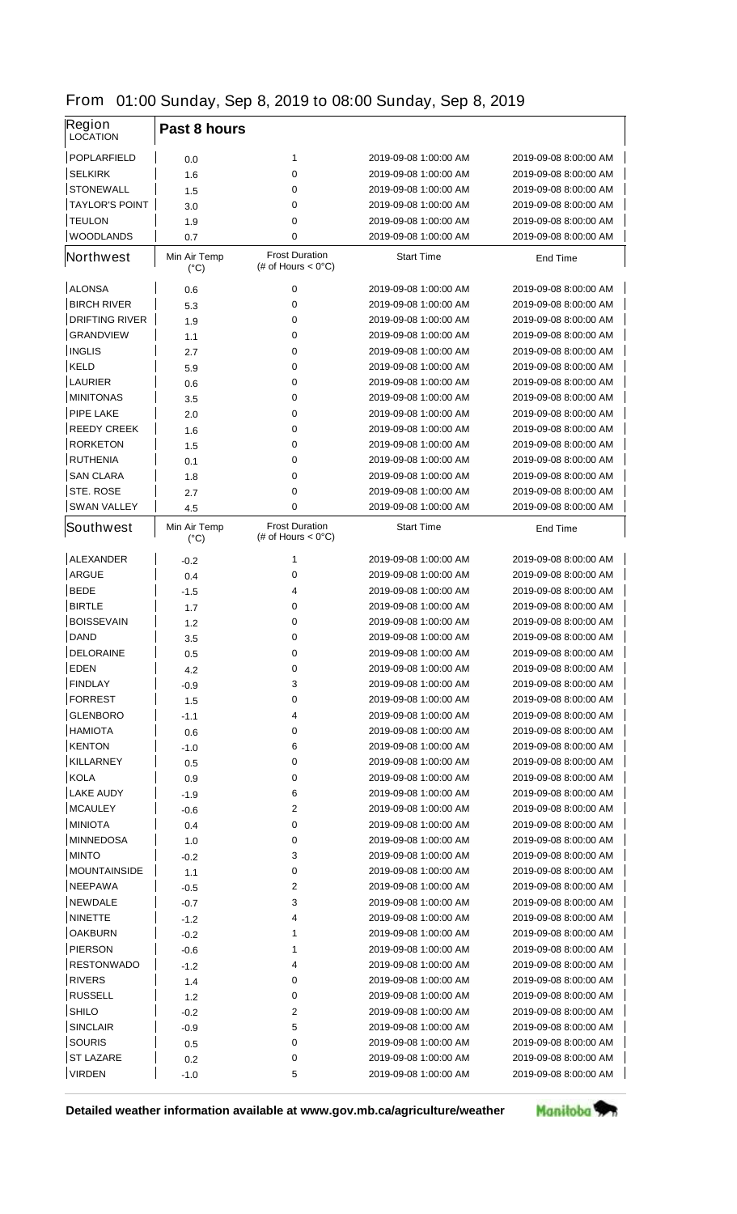|  | From 01:00 Sunday, Sep 8, 2019 to 08:00 Sunday, Sep 8, 2019 |  |  |  |  |  |  |  |
|--|-------------------------------------------------------------|--|--|--|--|--|--|--|
|--|-------------------------------------------------------------|--|--|--|--|--|--|--|

| Region<br><b>LOCATION</b> | Past 8 hours                         |                                                       |                       |                       |
|---------------------------|--------------------------------------|-------------------------------------------------------|-----------------------|-----------------------|
| <b>POPLARFIELD</b>        | 0.0                                  | 1                                                     | 2019-09-08 1:00:00 AM | 2019-09-08 8:00:00 AM |
| <b>SELKIRK</b>            | 1.6                                  | 0                                                     | 2019-09-08 1:00:00 AM | 2019-09-08 8:00:00 AM |
| <b>STONEWALL</b>          | 1.5                                  | 0                                                     | 2019-09-08 1:00:00 AM | 2019-09-08 8:00:00 AM |
| <b>TAYLOR'S POINT</b>     | 3.0                                  | 0                                                     | 2019-09-08 1:00:00 AM | 2019-09-08 8:00:00 AM |
| <b>TEULON</b>             | 1.9                                  | 0                                                     | 2019-09-08 1:00:00 AM | 2019-09-08 8:00:00 AM |
| <b>WOODLANDS</b>          | 0.7                                  | 0                                                     | 2019-09-08 1:00:00 AM | 2019-09-08 8:00:00 AM |
| <b>Northwest</b>          | <b>Min Air Temp</b><br>$(^{\circ}C)$ | <b>Frost Duration</b><br>(# of Hours $< 0^{\circ}$ C) | <b>Start Time</b>     | <b>End Time</b>       |
| <b>ALONSA</b>             | 0.6                                  | 0                                                     | 2019-09-08 1:00:00 AM | 2019-09-08 8:00:00 AM |
| <b>BIRCH RIVER</b>        | 5.3                                  | 0                                                     | 2019-09-08 1:00:00 AM | 2019-09-08 8:00:00 AM |
| <b>DRIFTING RIVER</b>     | 1.9                                  | 0                                                     | 2019-09-08 1:00:00 AM | 2019-09-08 8:00:00 AM |
| <b>GRANDVIEW</b>          | 1.1                                  | 0                                                     | 2019-09-08 1:00:00 AM | 2019-09-08 8:00:00 AM |
| <b>INGLIS</b>             | 2.7                                  | 0                                                     | 2019-09-08 1:00:00 AM | 2019-09-08 8:00:00 AM |
| <b>KELD</b>               | 5.9                                  | 0                                                     | 2019-09-08 1:00:00 AM | 2019-09-08 8:00:00 AM |
| <b>LAURIER</b>            | 0.6                                  | 0                                                     | 2019-09-08 1:00:00 AM | 2019-09-08 8:00:00 AM |
| <b>MINITONAS</b>          | 3.5                                  | 0                                                     | 2019-09-08 1:00:00 AM | 2019-09-08 8:00:00 AM |
| <b>PIPE LAKE</b>          | 2.0                                  | 0                                                     | 2019-09-08 1:00:00 AM | 2019-09-08 8:00:00 AM |
| <b>REEDY CREEK</b>        | 1.6                                  | 0                                                     | 2019-09-08 1:00:00 AM | 2019-09-08 8:00:00 AM |
| <b>RORKETON</b>           | 1.5                                  | 0                                                     | 2019-09-08 1:00:00 AM | 2019-09-08 8:00:00 AM |
| <b>RUTHENIA</b>           | 0.1                                  | 0                                                     | 2019-09-08 1:00:00 AM | 2019-09-08 8:00:00 AM |
| <b>SAN CLARA</b>          | 1.8                                  | 0                                                     | 2019-09-08 1:00:00 AM | 2019-09-08 8:00:00 AM |
| <b>STE, ROSE</b>          | 2.7                                  | 0                                                     | 2019-09-08 1:00:00 AM | 2019-09-08 8:00:00 AM |
| <b>SWAN VALLEY</b>        | 4.5                                  | 0                                                     | 2019-09-08 1:00:00 AM | 2019-09-08 8:00:00 AM |
| <b>Southwest</b>          | <b>Min Air Temp</b><br>$(^{\circ}C)$ | <b>Frost Duration</b><br>(# of Hours $< 0^{\circ}$ C) | <b>Start Time</b>     | <b>End Time</b>       |
| <b>ALEXANDER</b>          | $-0.2$                               | 1                                                     | 2019-09-08 1:00:00 AM | 2019-09-08 8:00:00 AM |
| <b>ARGUE</b>              | 0.4                                  | 0                                                     | 2019-09-08 1:00:00 AM | 2019-09-08 8:00:00 AM |
| <b>BEDE</b>               | -1.5                                 | 4                                                     | 2019-09-08 1:00:00 AM | 2019-09-08 8:00:00 AM |
| <b>BIRTLE</b>             | 1.7                                  | 0                                                     | 2019-09-08 1:00:00 AM | 2019-09-08 8:00:00 AM |
| <b>BOISSEVAIN</b>         | 1.2                                  | 0                                                     | 2019-09-08 1:00:00 AM | 2019-09-08 8:00:00 AM |
| <b>DAND</b>               | 3.5                                  | 0                                                     | 2019-09-08 1:00:00 AM | 2019-09-08 8:00:00 AM |
| <b>DELORAINE</b>          | 0.5                                  | 0                                                     | 2019-09-08 1:00:00 AM | 2019-09-08 8:00:00 AM |
| <b>EDEN</b>               | 4.2                                  | 0                                                     | 2019-09-08 1:00:00 AM | 2019-09-08 8:00:00 AM |
| <b>FINDLAY</b>            | -0.9                                 | 3                                                     | 2019-09-08 1:00:00 AM | 2019-09-08 8:00:00 AM |
| <b>FORREST</b>            | 1.5                                  | 0                                                     | 2019-09-08 1:00:00 AM | 2019-09-08 8:00:00 AM |
| <b>GLENBORO</b>           | -1.1                                 | 4                                                     | 2019-09-08 1:00:00 AM | 2019-09-08 8:00:00 AM |
| <b>HAMIOTA</b>            | 0.6                                  | 0                                                     | 2019-09-08 1:00:00 AM | 2019-09-08 8:00:00 AM |
| <b>KENTON</b>             | -1.0                                 | 6                                                     | 2019-09-08 1:00:00 AM | 2019-09-08 8:00:00 AM |
| <b>KILLARNEY</b>          | 0.5                                  | 0                                                     | 2019-09-08 1:00:00 AM | 2019-09-08 8:00:00 AM |
| KOLA                      | 0.9                                  | 0                                                     | 2019-09-08 1:00:00 AM | 2019-09-08 8:00:00 AM |
| <b>LAKE AUDY</b>          | -1.9                                 | 6                                                     | 2019-09-08 1:00:00 AM | 2019-09-08 8:00:00 AM |
| <b>MCAULEY</b>            | -0.6                                 | 2                                                     | 2019-09-08 1:00:00 AM | 2019-09-08 8:00:00 AM |
| <b>MINIOTA</b>            | 0.4                                  | 0                                                     | 2019-09-08 1:00:00 AM | 2019-09-08 8:00:00 AM |
| <b>MINNEDOSA</b>          | 1.0                                  | 0                                                     | 2019-09-08 1:00:00 AM | 2019-09-08 8:00:00 AM |
| <b>MINTO</b>              | -0.2                                 | 3                                                     | 2019-09-08 1:00:00 AM | 2019-09-08 8:00:00 AM |
| <b>MOUNTAINSIDE</b>       | 1.1                                  | 0                                                     | 2019-09-08 1:00:00 AM | 2019-09-08 8:00:00 AM |
| <b>NEEPAWA</b>            | -0.5                                 | 2                                                     | 2019-09-08 1:00:00 AM | 2019-09-08 8:00:00 AM |
| <b>NEWDALE</b>            | -0.7                                 | 3                                                     | 2019-09-08 1:00:00 AM | 2019-09-08 8:00:00 AM |
| <b>NINETTE</b>            | $-1.2$                               | 4                                                     | 2019-09-08 1:00:00 AM | 2019-09-08 8:00:00 AM |
| <b>OAKBURN</b>            | -0.2                                 | 1                                                     | 2019-09-08 1:00:00 AM | 2019-09-08 8:00:00 AM |
| <b>PIERSON</b>            | -0.6                                 | 1                                                     | 2019-09-08 1:00:00 AM | 2019-09-08 8:00:00 AM |
| <b>RESTONWADO</b>         | -1.2                                 | 4                                                     | 2019-09-08 1:00:00 AM | 2019-09-08 8:00:00 AM |
| <b>RIVERS</b>             | 1.4                                  | 0                                                     | 2019-09-08 1:00:00 AM | 2019-09-08 8:00:00 AM |
| <b>RUSSELL</b>            | 1.2                                  | 0                                                     | 2019-09-08 1:00:00 AM | 2019-09-08 8:00:00 AM |
| <b>SHILO</b>              | -0.2                                 | 2                                                     | 2019-09-08 1:00:00 AM | 2019-09-08 8:00:00 AM |
| <b>SINCLAIR</b>           | -0.9                                 | 5                                                     | 2019-09-08 1:00:00 AM | 2019-09-08 8:00:00 AM |
| <b>SOURIS</b>             | 0.5                                  | 0                                                     | 2019-09-08 1:00:00 AM | 2019-09-08 8:00:00 AM |
| <b>ST LAZARE</b>          | 0.2                                  | 0                                                     | 2019-09-08 1:00:00 AM | 2019-09-08 8:00:00 AM |
| <b>VIRDEN</b>             | -1.0                                 | 5                                                     | 2019-09-08 1:00:00 AM | 2019-09-08 8:00:00 AM |

**Detailed weather information available at www.gov.mb.ca/agriculture/weather**